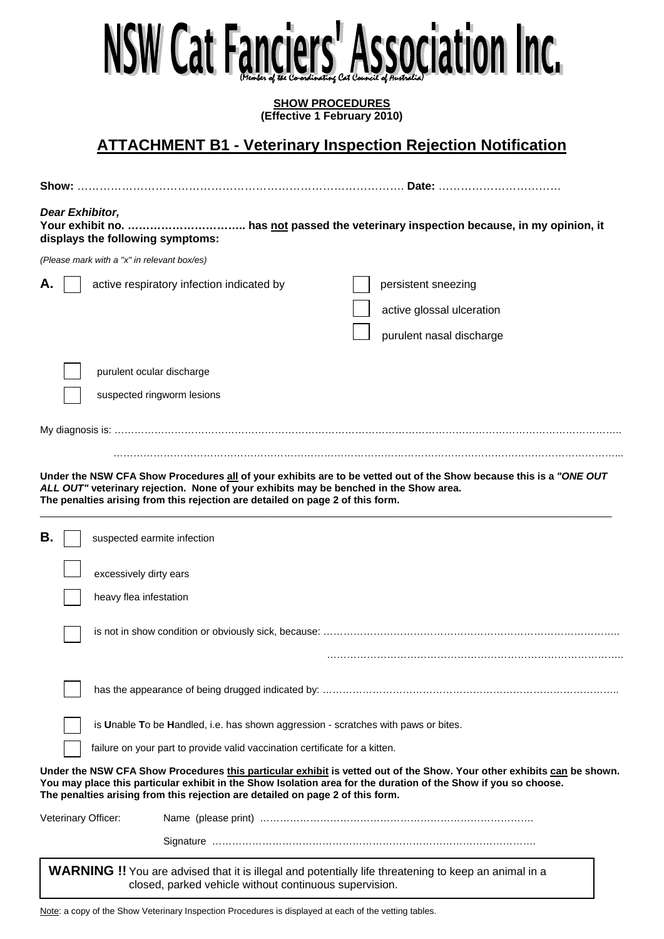# l (Member of the Co-ordinating Cat Council of Australia)

**SHOW PROCEDURES (Effective 1 February 2010)** 

**ATTACHMENT B1 - Veterinary Inspection Rejection Notification** 

|                     | Date:                                                                                                                                                                                                                                                                                                                       |  |
|---------------------|-----------------------------------------------------------------------------------------------------------------------------------------------------------------------------------------------------------------------------------------------------------------------------------------------------------------------------|--|
| Dear Exhibitor,     | displays the following symptoms:                                                                                                                                                                                                                                                                                            |  |
|                     | (Please mark with a "x" in relevant box/es)                                                                                                                                                                                                                                                                                 |  |
|                     | active respiratory infection indicated by<br>persistent sneezing<br>active glossal ulceration                                                                                                                                                                                                                               |  |
|                     | purulent nasal discharge                                                                                                                                                                                                                                                                                                    |  |
|                     | purulent ocular discharge                                                                                                                                                                                                                                                                                                   |  |
|                     | suspected ringworm lesions                                                                                                                                                                                                                                                                                                  |  |
|                     |                                                                                                                                                                                                                                                                                                                             |  |
|                     | Under the NSW CFA Show Procedures all of your exhibits are to be vetted out of the Show because this is a "ONE OUT<br>ALL OUT" veterinary rejection. None of your exhibits may be benched in the Show area.<br>The penalties arising from this rejection are detailed on page 2 of this form.                               |  |
| В.                  | suspected earmite infection                                                                                                                                                                                                                                                                                                 |  |
|                     | excessively dirty ears                                                                                                                                                                                                                                                                                                      |  |
|                     | heavy flea infestation                                                                                                                                                                                                                                                                                                      |  |
|                     |                                                                                                                                                                                                                                                                                                                             |  |
|                     |                                                                                                                                                                                                                                                                                                                             |  |
|                     | is Unable To be Handled, i.e. has shown aggression - scratches with paws or bites.                                                                                                                                                                                                                                          |  |
|                     | failure on your part to provide valid vaccination certificate for a kitten.                                                                                                                                                                                                                                                 |  |
|                     | Under the NSW CFA Show Procedures this particular exhibit is vetted out of the Show. Your other exhibits can be shown.<br>You may place this particular exhibit in the Show Isolation area for the duration of the Show if you so choose.<br>The penalties arising from this rejection are detailed on page 2 of this form. |  |
| Veterinary Officer: |                                                                                                                                                                                                                                                                                                                             |  |
|                     |                                                                                                                                                                                                                                                                                                                             |  |
|                     | WARNING !! You are advised that it is illegal and potentially life threatening to keep an animal in a<br>closed, parked vehicle without continuous supervision.                                                                                                                                                             |  |

Note: a copy of the Show Veterinary Inspection Procedures is displayed at each of the vetting tables.